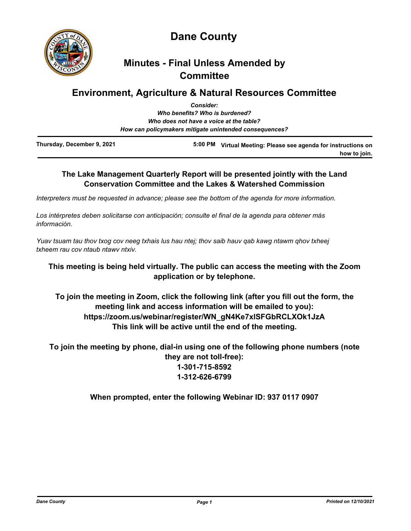

**Dane County**

# **Minutes - Final Unless Amended by Committee**

# **Environment, Agriculture & Natural Resources Committee**

|                            | <b>Consider:</b>                                       |                                                        |
|----------------------------|--------------------------------------------------------|--------------------------------------------------------|
|                            | Who benefits? Who is burdened?                         |                                                        |
|                            | Who does not have a voice at the table?                |                                                        |
|                            | How can policymakers mitigate unintended consequences? |                                                        |
| Thursday, December 9, 2021 | 5:00 PM                                                | Virtual Meeting: Please see agenda for instructions on |

# **The Lake Management Quarterly Report will be presented jointly with the Land Conservation Committee and the Lakes & Watershed Commission**

*Interpreters must be requested in advance; please see the bottom of the agenda for more information.*

*Los intérpretes deben solicitarse con anticipación; consulte el final de la agenda para obtener más información.*

*Yuav tsuam tau thov txog cov neeg txhais lus hau ntej; thov saib hauv qab kawg ntawm qhov txheej txheem rau cov ntaub ntawv ntxiv.*

# **This meeting is being held virtually. The public can access the meeting with the Zoom application or by telephone.**

**To join the meeting in Zoom, click the following link (after you fill out the form, the meeting link and access information will be emailed to you): https://zoom.us/webinar/register/WN\_gN4Ke7xlSFGbRCLXOk1JzA This link will be active until the end of the meeting.**

**To join the meeting by phone, dial-in using one of the following phone numbers (note they are not toll-free): 1-301-715-8592 1-312-626-6799**

**When prompted, enter the following Webinar ID: 937 0117 0907**

**how to join.**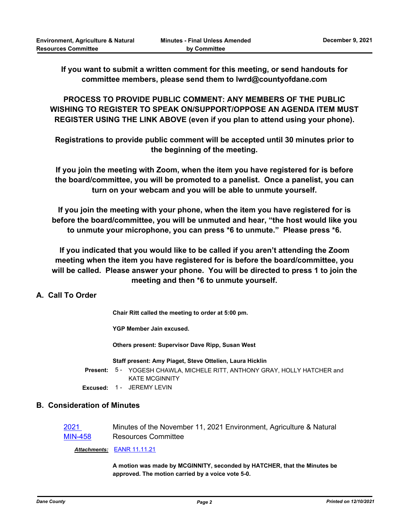**If you want to submit a written comment for this meeting, or send handouts for committee members, please send them to lwrd@countyofdane.com**

**PROCESS TO PROVIDE PUBLIC COMMENT: ANY MEMBERS OF THE PUBLIC WISHING TO REGISTER TO SPEAK ON/SUPPORT/OPPOSE AN AGENDA ITEM MUST REGISTER USING THE LINK ABOVE (even if you plan to attend using your phone).** 

**Registrations to provide public comment will be accepted until 30 minutes prior to the beginning of the meeting.** 

**If you join the meeting with Zoom, when the item you have registered for is before the board/committee, you will be promoted to a panelist. Once a panelist, you can turn on your webcam and you will be able to unmute yourself.** 

**If you join the meeting with your phone, when the item you have registered for is before the board/committee, you will be unmuted and hear, "the host would like you to unmute your microphone, you can press \*6 to unmute." Please press \*6.**

**If you indicated that you would like to be called if you aren't attending the Zoom meeting when the item you have registered for is before the board/committee, you will be called. Please answer your phone. You will be directed to press 1 to join the meeting and then \*6 to unmute yourself.**

# **A. Call To Order**

**Chair Ritt called the meeting to order at 5:00 pm.**

**YGP Member Jain excused.**

**Others present: Supervisor Dave Ripp, Susan West**

#### **Staff present: Amy Piaget, Steve Ottelien, Laura Hicklin**

Present: 5 - YOGESH CHAWLA, MICHELE RITT, ANTHONY GRAY, HOLLY HATCHER and KATE MCGINNITY

**Excused:** 1 - JEREMY LEVIN

# **B. Consideration of Minutes**

| 2021           | Minutes of the November 11, 2021 Environment, Agriculture & Natural |
|----------------|---------------------------------------------------------------------|
| <b>MIN-458</b> | <b>Resources Committee</b>                                          |

*Attachments:* [EANR 11.11.21](http://dane.legistar.com/gateway.aspx?M=F&ID=7d530808-394f-4c3a-9f91-43c735174810.pdf)

**A motion was made by MCGINNITY, seconded by HATCHER, that the Minutes be approved. The motion carried by a voice vote 5-0.**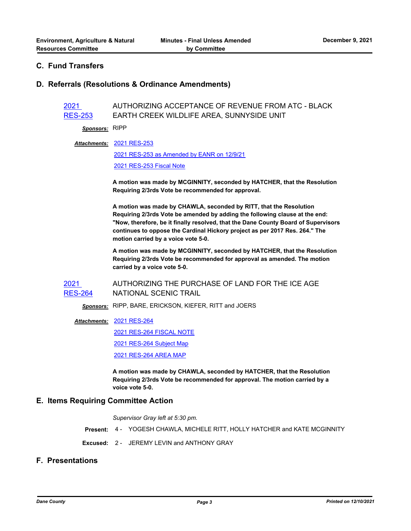## **C. Fund Transfers**

### **D. Referrals (Resolutions & Ordinance Amendments)**

2021 [RES-253](http://dane.legistar.com/gateway.aspx?m=l&id=/matter.aspx?key=21588) AUTHORIZING ACCEPTANCE OF REVENUE FROM ATC - BLACK EARTH CREEK WILDLIFE AREA, SUNNYSIDE UNIT

*Sponsors:* RIPP

[2021 RES-253](http://dane.legistar.com/gateway.aspx?M=F&ID=3d946761-d64f-4220-95ff-6a48d69de570.pdf) *Attachments:*

[2021 RES-253 as Amended by EANR on 12/9/21](http://dane.legistar.com/gateway.aspx?M=F&ID=284b6ea9-ad3d-4a65-9b63-33d43b562348.pdf)

[2021 RES-253 Fiscal Note](http://dane.legistar.com/gateway.aspx?M=F&ID=eb19a792-0a15-4cf9-9e0b-d6cd4b808c99.pdf)

**A motion was made by MCGINNITY, seconded by HATCHER, that the Resolution Requiring 2/3rds Vote be recommended for approval.** 

**A motion was made by CHAWLA, seconded by RITT, that the Resolution Requiring 2/3rds Vote be amended by adding the following clause at the end: "Now, therefore, be it finally resolved, that the Dane County Board of Supervisors continues to oppose the Cardinal Hickory project as per 2017 Res. 264." The motion carried by a voice vote 5-0.**

**A motion was made by MCGINNITY, seconded by HATCHER, that the Resolution Requiring 2/3rds Vote be recommended for approval as amended. The motion carried by a voice vote 5-0.**

2021 [RES-264](http://dane.legistar.com/gateway.aspx?m=l&id=/matter.aspx?key=21638) AUTHORIZING THE PURCHASE OF LAND FOR THE ICE AGE NATIONAL SCENIC TRAIL

*Sponsors:* RIPP, BARE, ERICKSON, KIEFER, RITT and JOERS

#### [2021 RES-264](http://dane.legistar.com/gateway.aspx?M=F&ID=a00620e3-37c4-4445-a3eb-d10506c068fd.pdf) *Attachments:*

[2021 RES-264 FISCAL NOTE](http://dane.legistar.com/gateway.aspx?M=F&ID=134e283e-d4ae-4717-9c03-ae19b131c73a.pdf)

[2021 RES-264 Subject Map](http://dane.legistar.com/gateway.aspx?M=F&ID=58e8ad60-d61e-4782-9a30-2b8cabd4daac.pdf)

[2021 RES-264 AREA MAP](http://dane.legistar.com/gateway.aspx?M=F&ID=caf2db1d-9416-4e95-9458-bf2e4e76cf25.pdf)

**A motion was made by CHAWLA, seconded by HATCHER, that the Resolution Requiring 2/3rds Vote be recommended for approval. The motion carried by a voice vote 5-0.**

#### **E. Items Requiring Committee Action**

*Supervisor Gray left at 5:30 pm.*

**Present:** 4 - YOGESH CHAWLA, MICHELE RITT, HOLLY HATCHER and KATE MCGINNITY

**Excused:** 2 - JEREMY LEVIN and ANTHONY GRAY

# **F. Presentations**